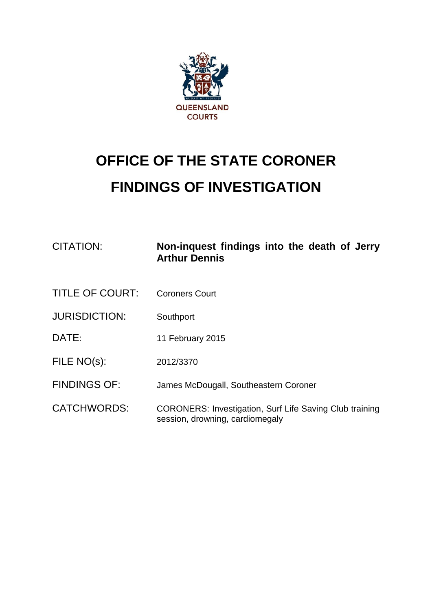

## **OFFICE OF THE STATE CORONER FINDINGS OF INVESTIGATION**

| CITATION:              | Non-inquest findings into the death of Jerry<br><b>Arthur Dennis</b>                              |
|------------------------|---------------------------------------------------------------------------------------------------|
| <b>TITLE OF COURT:</b> | <b>Coroners Court</b>                                                                             |
| <b>JURISDICTION:</b>   | Southport                                                                                         |
| DATE:                  | 11 February 2015                                                                                  |
| FILE NO(s):            | 2012/3370                                                                                         |
| <b>FINDINGS OF:</b>    | James McDougall, Southeastern Coroner                                                             |
| <b>CATCHWORDS:</b>     | <b>CORONERS: Investigation, Surf Life Saving Club training</b><br>session, drowning, cardiomegaly |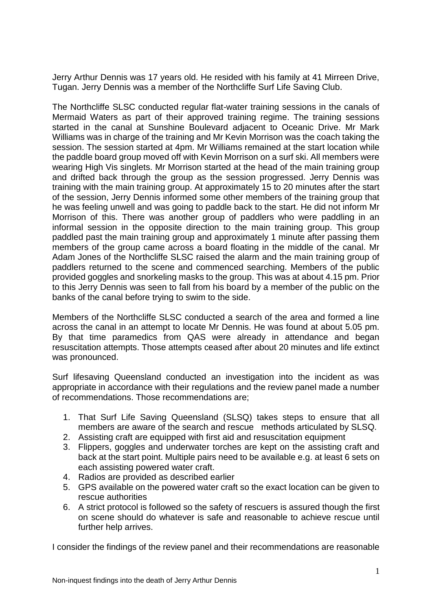Jerry Arthur Dennis was 17 years old. He resided with his family at 41 Mirreen Drive, Tugan. Jerry Dennis was a member of the Northcliffe Surf Life Saving Club.

The Northcliffe SLSC conducted regular flat-water training sessions in the canals of Mermaid Waters as part of their approved training regime. The training sessions started in the canal at Sunshine Boulevard adjacent to Oceanic Drive. Mr Mark Williams was in charge of the training and Mr Kevin Morrison was the coach taking the session. The session started at 4pm. Mr Williams remained at the start location while the paddle board group moved off with Kevin Morrison on a surf ski. All members were wearing High Vis singlets. Mr Morrison started at the head of the main training group and drifted back through the group as the session progressed. Jerry Dennis was training with the main training group. At approximately 15 to 20 minutes after the start of the session, Jerry Dennis informed some other members of the training group that he was feeling unwell and was going to paddle back to the start. He did not inform Mr Morrison of this. There was another group of paddlers who were paddling in an informal session in the opposite direction to the main training group. This group paddled past the main training group and approximately 1 minute after passing them members of the group came across a board floating in the middle of the canal. Mr Adam Jones of the Northcliffe SLSC raised the alarm and the main training group of paddlers returned to the scene and commenced searching. Members of the public provided goggles and snorkeling masks to the group. This was at about 4.15 pm. Prior to this Jerry Dennis was seen to fall from his board by a member of the public on the banks of the canal before trying to swim to the side.

Members of the Northcliffe SLSC conducted a search of the area and formed a line across the canal in an attempt to locate Mr Dennis. He was found at about 5.05 pm. By that time paramedics from QAS were already in attendance and began resuscitation attempts. Those attempts ceased after about 20 minutes and life extinct was pronounced.

Surf lifesaving Queensland conducted an investigation into the incident as was appropriate in accordance with their regulations and the review panel made a number of recommendations. Those recommendations are;

- 1. That Surf Life Saving Queensland (SLSQ) takes steps to ensure that all members are aware of the search and rescue methods articulated by SLSQ.
- 2. Assisting craft are equipped with first aid and resuscitation equipment
- 3. Flippers, goggles and underwater torches are kept on the assisting craft and back at the start point. Multiple pairs need to be available e.g. at least 6 sets on each assisting powered water craft.
- 4. Radios are provided as described earlier
- 5. GPS available on the powered water craft so the exact location can be given to rescue authorities
- 6. A strict protocol is followed so the safety of rescuers is assured though the first on scene should do whatever is safe and reasonable to achieve rescue until further help arrives.

I consider the findings of the review panel and their recommendations are reasonable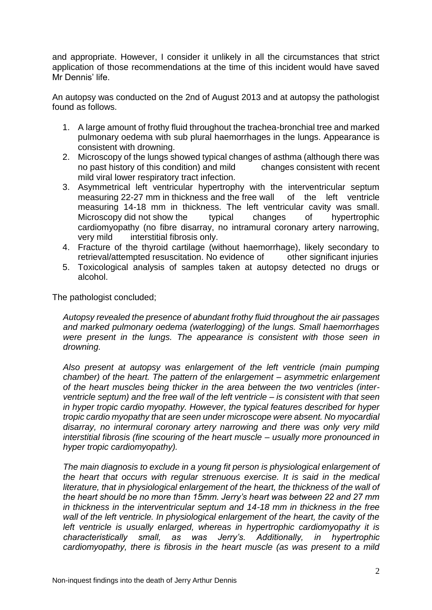and appropriate. However, I consider it unlikely in all the circumstances that strict application of those recommendations at the time of this incident would have saved Mr Dennis' life.

An autopsy was conducted on the 2nd of August 2013 and at autopsy the pathologist found as follows.

- 1. A large amount of frothy fluid throughout the trachea-bronchial tree and marked pulmonary oedema with sub plural haemorrhages in the lungs. Appearance is consistent with drowning.
- 2. Microscopy of the lungs showed typical changes of asthma (although there was no past history of this condition) and mild changes consistent with recent mild viral lower respiratory tract infection.
- 3. Asymmetrical left ventricular hypertrophy with the interventricular septum measuring 22-27 mm in thickness and the free wall of the left ventricle measuring 14-18 mm in thickness. The left ventricular cavity was small.<br>Microscopy did not show the typical changes of hypertrophic Microscopy did not show the typical changes of cardiomyopathy (no fibre disarray, no intramural coronary artery narrowing, very mild interstitial fibrosis only.
- 4. Fracture of the thyroid cartilage (without haemorrhage), likely secondary to retrieval/attempted resuscitation. No evidence of other significant injuries
- 5. Toxicological analysis of samples taken at autopsy detected no drugs or alcohol.

The pathologist concluded;

*Autopsy revealed the presence of abundant frothy fluid throughout the air passages and marked pulmonary oedema (waterlogging) of the lungs. Small haemorrhages were present in the lungs. The appearance is consistent with those seen in drowning.* 

*Also present at autopsy was enlargement of the left ventricle (main pumping chamber) of the heart. The pattern of the enlargement – asymmetric enlargement of the heart muscles being thicker in the area between the two ventricles (interventricle septum) and the free wall of the left ventricle – is consistent with that seen in hyper tropic cardio myopathy. However, the typical features described for hyper tropic cardio myopathy that are seen under microscope were absent. No myocardial disarray, no intermural coronary artery narrowing and there was only very mild interstitial fibrosis (fine scouring of the heart muscle – usually more pronounced in hyper tropic cardiomyopathy).* 

*The main diagnosis to exclude in a young fit person is physiological enlargement of the heart that occurs with regular strenuous exercise. It is said in the medical literature, that in physiological enlargement of the heart, the thickness of the wall of the heart should be no more than 15mm. Jerry's heart was between 22 and 27 mm in thickness in the interventricular septum and 14-18 mm in thickness in the free wall of the left ventricle. In physiological enlargement of the heart, the cavity of the*  left ventricle is usually enlarged, whereas in hypertrophic cardiomyopathy it is *characteristically small, as was Jerry's. Additionally, in hypertrophic cardiomyopathy, there is fibrosis in the heart muscle (as was present to a mild*